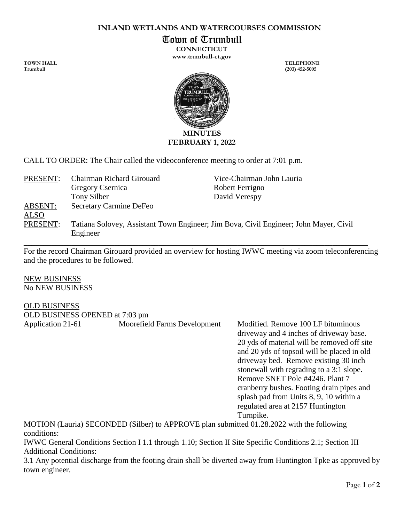## **INLAND WETLANDS AND WATERCOURSES COMMISSION**

Town of Trumbull

**CONNECTICUT www.trumbull-ct.gov**

**TOWN HALL TELEPHONE**



CALL TO ORDER: The Chair called the videoconference meeting to order at 7:01 p.m.

| PRESENT:    | Chairman Richard Girouard                                                                         | Vice-Chairman John Lauria |
|-------------|---------------------------------------------------------------------------------------------------|---------------------------|
|             | Gregory Csernica                                                                                  | Robert Ferrigno           |
|             | Tony Silber                                                                                       | David Verespy             |
| ABSENT:     | <b>Secretary Carmine DeFeo</b>                                                                    |                           |
| <b>ALSO</b> |                                                                                                   |                           |
| PRESENT:    | Tatiana Solovey, Assistant Town Engineer; Jim Bova, Civil Engineer; John Mayer, Civil<br>Engineer |                           |
|             |                                                                                                   |                           |

For the record Chairman Girouard provided an overview for hosting IWWC meeting via zoom teleconferencing and the procedures to be followed.

NEW BUSINESS No NEW BUSINESS

## OLD BUSINESS

| OLD BUSINESS OPENED at 7:03 pm |                                                                                                                           |                                                                                                                                                                                                                                                                                                                                                                                                                                                |
|--------------------------------|---------------------------------------------------------------------------------------------------------------------------|------------------------------------------------------------------------------------------------------------------------------------------------------------------------------------------------------------------------------------------------------------------------------------------------------------------------------------------------------------------------------------------------------------------------------------------------|
| Application 21-61              | Moorefield Farms Development<br>MOTION (Lauria) SECONDED (Silhar) to ADDDOVE plan sylmitted 01.20.2022 with the following | Modified. Remove 100 LF bituminous<br>driveway and 4 inches of driveway base.<br>20 yds of material will be removed off site<br>and 20 yds of topsoil will be placed in old<br>driveway bed. Remove existing 30 inch.<br>stonewall with regrading to a 3:1 slope.<br>Remove SNET Pole #4246. Plant 7<br>cranberry bushes. Footing drain pipes and<br>splash pad from Units 8, 9, 10 within a<br>regulated area at 2157 Huntington<br>Turnpike. |
|                                |                                                                                                                           |                                                                                                                                                                                                                                                                                                                                                                                                                                                |

MOTION (Lauria) SECONDED (Silber) to APPROVE plan submitted 01.28.2022 with the following conditions:

IWWC General Conditions Section I 1.1 through 1.10; Section II Site Specific Conditions 2.1; Section III Additional Conditions:

3.1 Any potential discharge from the footing drain shall be diverted away from Huntington Tpke as approved by town engineer.

**Trumbull (203) 452-5005**